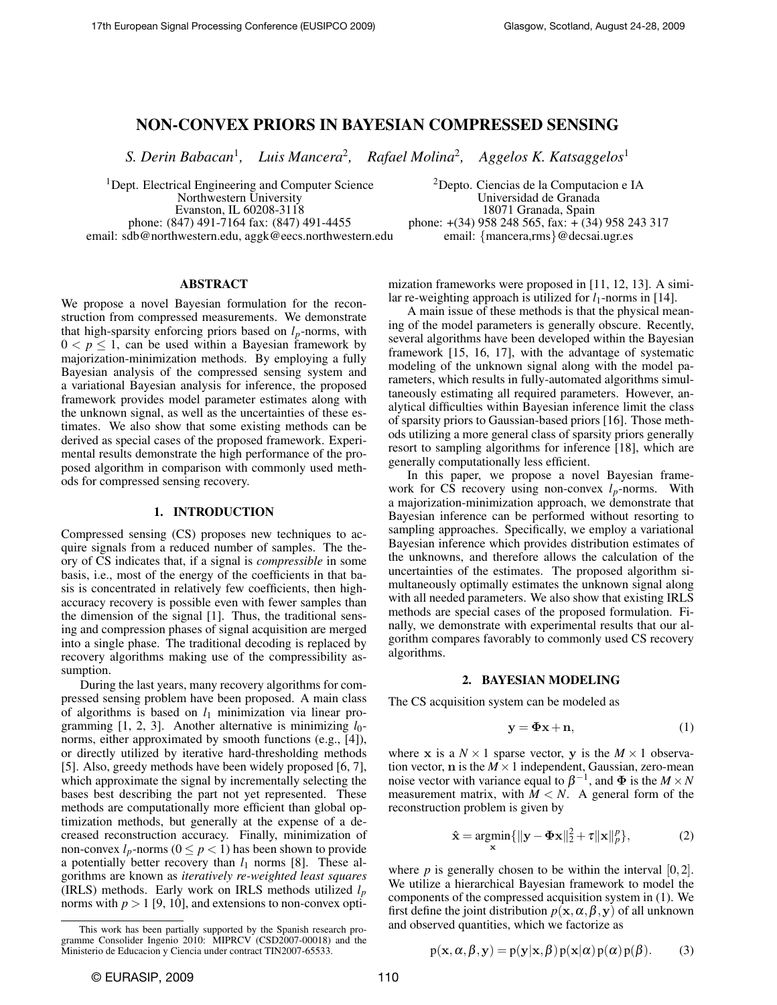# NON-CONVEX PRIORS IN BAYESIAN COMPRESSED SENSING

S. Derin Babacan<sup>1</sup>, Luis Mancera<sup>2</sup>, Rafael Molina<sup>2</sup>, Aggelos K. Katsaggelos<sup>1</sup>

<sup>1</sup>Dept. Electrical Engineering and Computer Science <sup>2</sup>Depto. Ciencias de la Computacion e IA<br>Northwestern University **2006** *Universidad de Granada* Evanston, IL 60208-3118<br>phone: (847) 491-7164 fax: (847) 491-4455 email: sdb@northwestern.edu, aggk@eecs.northwestern.edu

Universidad de Granada<br>18071 Granada, Spain phone:  $+(34)$  958 248 565, fax:  $+(34)$  958 243 317<br>email: {mancera,rms}@decsai.ugr.es

# ABSTRACT

We propose a novel Bayesian formulation for the reconstruction from compressed measurements. We demonstrate that high-sparsity enforcing priors based on *lp*-norms, with  $0 < p \leq 1$ , can be used within a Bayesian framework by majorization-minimization methods. By employing a fully Bayesian analysis of the compressed sensing system and a variational Bayesian analysis for inference, the proposed framework provides model parameter estimates along with the unknown signal, as well as the uncertainties of these estimates. We also show that some existing methods can be derived as special cases of the proposed framework. Experimental results demonstrate the high performance of the proposed algorithm in comparison with commonly used methods for compressed sensing recovery.

#### 1. INTRODUCTION

Compressed sensing (CS) proposes new techniques to acquire signals from a reduced number of samples. The theory of CS indicates that, if a signal is *compressible* in some basis, i.e., most of the energy of the coefficients in that basis is concentrated in relatively few coefficients, then highaccuracy recovery is possible even with fewer samples than the dimension of the signal [1]. Thus, the traditional sensing and compression phases of signal acquisition are merged into a single phase. The traditional decoding is replaced by recovery algorithms making use of the compressibility assumption.

During the last years, many recovery algorithms for compressed sensing problem have been proposed. A main class of algorithms is based on *l*<sup>1</sup> minimization via linear programming  $[1, 2, 3]$ . Another alternative is minimizing  $l_0$ norms, either approximated by smooth functions (e.g., [4]), or directly utilized by iterative hard-thresholding methods [5]. Also, greedy methods have been widely proposed [6, 7], which approximate the signal by incrementally selecting the bases best describing the part not yet represented. These methods are computationally more efficient than global optimization methods, but generally at the expense of a decreased reconstruction accuracy. Finally, minimization of non-convex  $l_p$ -norms ( $0 \le p < 1$ ) has been shown to provide a potentially better recovery than  $l_1$  norms [8]. These algorithms are known as *iteratively re-weighted least squares* (IRLS) methods. Early work on IRLS methods utilized *l<sup>p</sup>* norms with  $p > 1$  [9, 10], and extensions to non-convex optimization frameworks were proposed in [11, 12, 13]. A similar re-weighting approach is utilized for  $l_1$ -norms in [14].

A main issue of these methods is that the physical meaning of the model parameters is generally obscure. Recently, several algorithms have been developed within the Bayesian framework [15, 16, 17], with the advantage of systematic modeling of the unknown signal along with the model parameters, which results in fully-automated algorithms simultaneously estimating all required parameters. However, analytical difficulties within Bayesian inference limit the class of sparsity priors to Gaussian-based priors [16]. Those methods utilizing a more general class of sparsity priors generally resort to sampling algorithms for inference [18], which are generally computationally less efficient.

In this paper, we propose a novel Bayesian framework for CS recovery using non-convex *lp*-norms. With a majorization-minimization approach, we demonstrate that Bayesian inference can be performed without resorting to sampling approaches. Specifically, we employ a variational Bayesian inference which provides distribution estimates of the unknowns, and therefore allows the calculation of the uncertainties of the estimates. The proposed algorithm simultaneously optimally estimates the unknown signal along with all needed parameters. We also show that existing IRLS methods are special cases of the proposed formulation. Finally, we demonstrate with experimental results that our algorithm compares favorably to commonly used CS recovery algorithms.

#### 2. BAYESIAN MODELING

The CS acquisition system can be modeled as

$$
y = \Phi x + n,\tag{1}
$$

where **x** is a  $N \times 1$  sparse vector, **y** is the  $M \times 1$  observation vector,  $n$  is the  $M \times 1$  independent, Gaussian, zero-mean noise vector with variance equal to  $\beta^{-1}$ , and  $\Phi$  is the  $M \times N$ measurement matrix, with  $M < N$ . A general form of the reconstruction problem is given by

$$
\hat{\mathbf{x}} = \underset{\mathbf{x}}{\operatorname{argmin}} \{ ||\mathbf{y} - \mathbf{\Phi} \mathbf{x}||_2^2 + \tau ||\mathbf{x}||_p^p \},\tag{2}
$$

where  $p$  is generally chosen to be within the interval  $[0,2]$ . We utilize a hierarchical Bayesian framework to model the components of the compressed acquisition system in (1). We first define the joint distribution  $p(x, \alpha, \beta, y)$  of all unknown and observed quantities, which we factorize as

$$
p(\mathbf{x}, \alpha, \beta, \mathbf{y}) = p(\mathbf{y}|\mathbf{x}, \beta) p(\mathbf{x}|\alpha) p(\alpha) p(\beta).
$$
 (3)

This work has been partially supported by the Spanish research programme Consolider Ingenio 2010: MIPRCV (CSD2007-00018) and the Ministerio de Educacion y Ciencia under contract TIN2007-65533.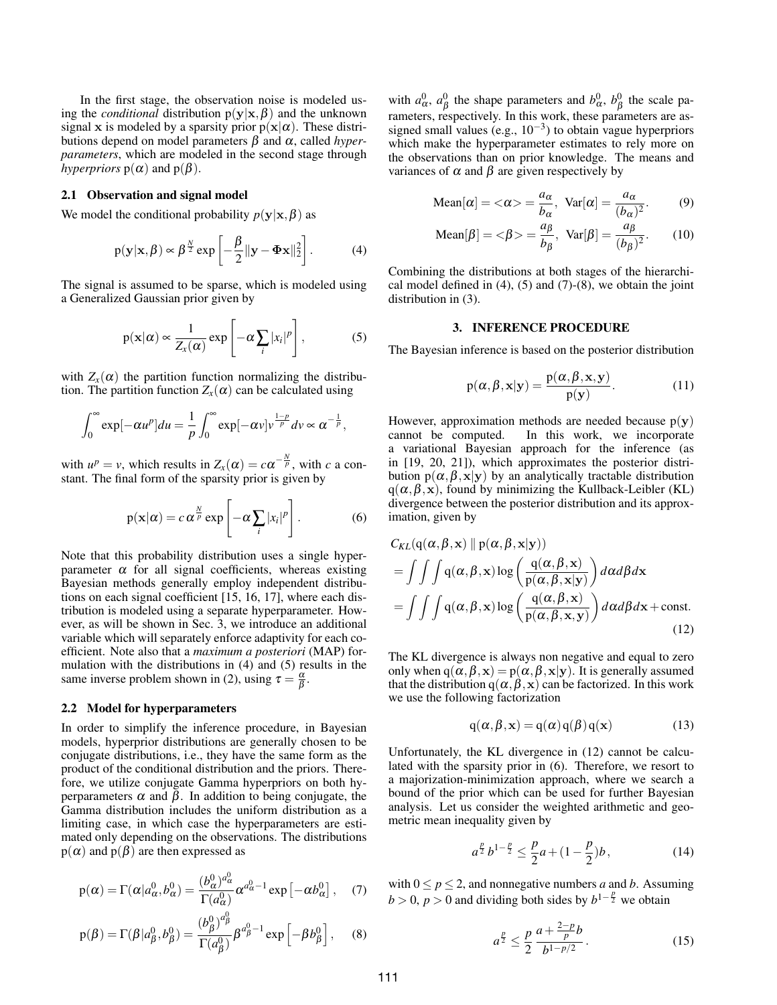In the first stage, the observation noise is modeled using the *conditional* distribution  $p(y|x, \beta)$  and the unknown signal x is modeled by a sparsity prior  $p(x|\alpha)$ . These distributions depend on model parameters β and α, called *hyperparameters*, which are modeled in the second stage through *hyperpriors*  $p(\alpha)$  and  $p(\beta)$ .

# 2.1 Observation and signal model

We model the conditional probability  $p(\mathbf{y}|\mathbf{x}, \beta)$  as

$$
p(\mathbf{y}|\mathbf{x}, \beta) \propto \beta^{\frac{N}{2}} \exp\left[-\frac{\beta}{2} ||\mathbf{y} - \mathbf{\Phi} \mathbf{x}||_2^2\right].
$$
 (4)

The signal is assumed to be sparse, which is modeled using a Generalized Gaussian prior given by

$$
p(\mathbf{x}|\alpha) \propto \frac{1}{Z_x(\alpha)} \exp\left[-\alpha \sum_i |x_i|^p\right],\tag{5}
$$

with  $Z_x(\alpha)$  the partition function normalizing the distribution. The partition function  $Z_x(\alpha)$  can be calculated using

$$
\int_0^\infty \exp[-\alpha u^p] du = \frac{1}{p} \int_0^\infty \exp[-\alpha v] v^{\frac{1-p}{p}} dv \propto \alpha^{-\frac{1}{p}},
$$

with  $u^p = v$ , which results in  $Z_x(\alpha) = c\alpha^{-\frac{N}{p}}$ , with *c* a constant. The final form of the sparsity prior is given by

$$
p(\mathbf{x}|\alpha) = c \alpha^{\frac{N}{p}} \exp \left[ -\alpha \sum_{i} |x_i|^p \right].
$$
 (6)

Note that this probability distribution uses a single hyperparameter  $\alpha$  for all signal coefficients, whereas existing Bayesian methods generally employ independent distributions on each signal coefficient [15, 16, 17], where each distribution is modeled using a separate hyperparameter. However, as will be shown in Sec. 3, we introduce an additional variable which will separately enforce adaptivity for each coefficient. Note also that a *maximum a posteriori* (MAP) formulation with the distributions in (4) and (5) results in the same inverse problem shown in (2), using  $\tau = \frac{\alpha}{\beta}$ .

#### 2.2 Model for hyperparameters

In order to simplify the inference procedure, in Bayesian models, hyperprior distributions are generally chosen to be conjugate distributions, i.e., they have the same form as the product of the conditional distribution and the priors. Therefore, we utilize conjugate Gamma hyperpriors on both hyperparameters  $\alpha$  and  $\beta$ . In addition to being conjugate, the Gamma distribution includes the uniform distribution as a limiting case, in which case the hyperparameters are estimated only depending on the observations. The distributions  $p(\alpha)$  and  $p(\beta)$  are then expressed as

$$
p(\alpha) = \Gamma(\alpha|a_{\alpha}^0, b_{\alpha}^0) = \frac{(b_{\alpha}^0)^{a_{\alpha}^0}}{\Gamma(a_{\alpha}^0)} \alpha^{a_{\alpha}^0 - 1} \exp\left[-\alpha b_{\alpha}^0\right], \quad (7)
$$

$$
p(\beta) = \Gamma(\beta | a_{\beta}^0, b_{\beta}^0) = \frac{(b_{\beta}^0)^{a_{\beta}^0}}{\Gamma(a_{\beta}^0)} \beta^{a_{\beta}^0 - 1} \exp\left[-\beta b_{\beta}^0\right], \quad (8)
$$

with  $a_{\alpha}^0$ ,  $a_{\beta}^0$  the shape parameters and  $b_{\alpha}^0$ ,  $b_{\beta}^0$  the scale parameters, respectively. In this work, these parameters are assigned small values (e.g.,  $10^{-3}$ ) to obtain vague hyperpriors which make the hyperparameter estimates to rely more on the observations than on prior knowledge. The means and variances of  $\alpha$  and  $\beta$  are given respectively by

Mean[
$$
\alpha
$$
] =  $\langle \alpha \rangle = \frac{a_{\alpha}}{b_{\alpha}}$ , Var[ $\alpha$ ] =  $\frac{a_{\alpha}}{(b_{\alpha})^2}$ . (9)

Mean[
$$
\beta
$$
] =  $\langle \beta \rangle = \frac{a_{\beta}}{b_{\beta}}$ , Var[ $\beta$ ] =  $\frac{a_{\beta}}{(b_{\beta})^2}$ . (10)

Combining the distributions at both stages of the hierarchical model defined in  $(4)$ ,  $(5)$  and  $(7)-(8)$ , we obtain the joint distribution in (3).

# 3. INFERENCE PROCEDURE

The Bayesian inference is based on the posterior distribution

$$
p(\alpha, \beta, \mathbf{x} | \mathbf{y}) = \frac{p(\alpha, \beta, \mathbf{x}, \mathbf{y})}{p(\mathbf{y})}.
$$
 (11)

However, approximation methods are needed because  $p(y)$ cannot be computed. In this work, we incorporate a variational Bayesian approach for the inference (as in [19, 20, 21]), which approximates the posterior distribution  $p(\alpha, \beta, x|y)$  by an analytically tractable distribution  $q(\alpha, \beta, x)$ , found by minimizing the Kullback-Leibler (KL) divergence between the posterior distribution and its approximation, given by

$$
C_{KL}(q(\alpha, \beta, \mathbf{x}) \parallel p(\alpha, \beta, \mathbf{x} | \mathbf{y}))
$$
  
=  $\iint \int q(\alpha, \beta, \mathbf{x}) \log \left( \frac{q(\alpha, \beta, \mathbf{x})}{p(\alpha, \beta, \mathbf{x} | \mathbf{y})} \right) d\alpha d\beta d\mathbf{x}$   
=  $\iint \int q(\alpha, \beta, \mathbf{x}) \log \left( \frac{q(\alpha, \beta, \mathbf{x})}{p(\alpha, \beta, \mathbf{x}, \mathbf{y})} \right) d\alpha d\beta d\mathbf{x} + \text{const.}$  (12)

The KL divergence is always non negative and equal to zero only when  $q(\alpha, \beta, x) = p(\alpha, \beta, x|y)$ . It is generally assumed that the distribution  $q(\alpha, \beta, x)$  can be factorized. In this work we use the following factorization

$$
q(\alpha, \beta, x) = q(\alpha) q(\beta) q(x)
$$
 (13)

Unfortunately, the KL divergence in (12) cannot be calculated with the sparsity prior in (6). Therefore, we resort to a majorization-minimization approach, where we search a bound of the prior which can be used for further Bayesian analysis. Let us consider the weighted arithmetic and geometric mean inequality given by

$$
a^{\frac{p}{2}}b^{1-\frac{p}{2}} \le \frac{p}{2}a + (1-\frac{p}{2})b, \tag{14}
$$

with  $0 \le p \le 2$ , and nonnegative numbers *a* and *b*. Assuming  $b > 0$ ,  $p > 0$  and dividing both sides by  $b^{1-\frac{p}{2}}$  we obtain

$$
a^{\frac{p}{2}} \le \frac{p}{2} \frac{a + \frac{2-p}{p}b}{b^{1-p/2}}.
$$
 (15)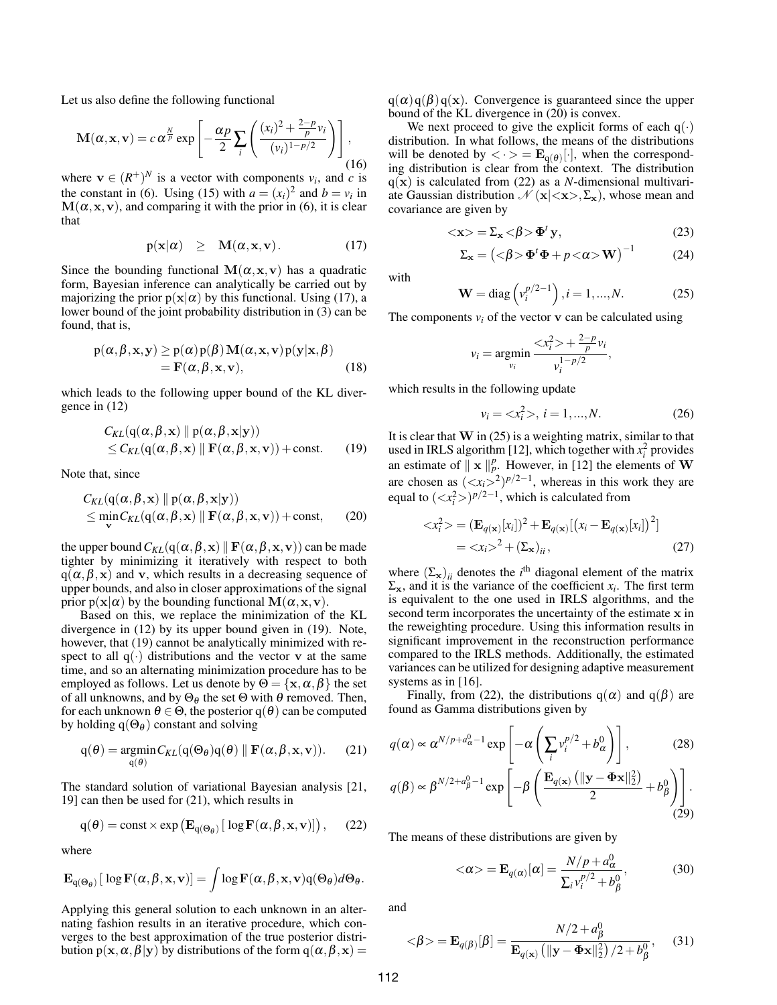Let us also define the following functional

$$
\mathbf{M}(\alpha, \mathbf{x}, \mathbf{v}) = c \alpha^{\frac{N}{p}} \exp\left[ -\frac{\alpha p}{2} \sum_{i} \left( \frac{(x_i)^2 + \frac{2-p}{p} v_i}{(v_i)^{1-p/2}} \right) \right],
$$
\n(16)

where  $\mathbf{v} \in (R^+)^N$  is a vector with components  $v_i$ , and *c* is the constant in (6). Using (15) with  $a = (x_i)^2$  and  $b = v_i$  in  $M(\alpha, x, v)$ , and comparing it with the prior in (6), it is clear that

$$
p(\mathbf{x}|\alpha) \geq \mathbf{M}(\alpha, \mathbf{x}, \mathbf{v}). \tag{17}
$$

Since the bounding functional  $M(\alpha, x, v)$  has a quadratic form, Bayesian inference can analytically be carried out by majorizing the prior  $p(x|\alpha)$  by this functional. Using (17), a lower bound of the joint probability distribution in (3) can be found, that is,

$$
p(\alpha, \beta, x, y) \ge p(\alpha) p(\beta) M(\alpha, x, v) p(y|x, \beta)
$$
  
=  $F(\alpha, \beta, x, v)$ , (18)

which leads to the following upper bound of the KL divergence in (12)

$$
C_{KL}(q(\alpha, \beta, \mathbf{x}) \parallel p(\alpha, \beta, \mathbf{x} | \mathbf{y}))
$$
  
 
$$
\leq C_{KL}(q(\alpha, \beta, \mathbf{x}) \parallel \mathbf{F}(\alpha, \beta, \mathbf{x}, \mathbf{v})) + \text{const.}
$$
 (19)

Note that, since

$$
C_{KL}(q(\alpha, \beta, \mathbf{x}) \parallel p(\alpha, \beta, \mathbf{x} | \mathbf{y}))
$$
  
\n
$$
\leq \min_{\mathbf{v}} C_{KL}(q(\alpha, \beta, \mathbf{x}) \parallel \mathbf{F}(\alpha, \beta, \mathbf{x}, \mathbf{v})) + \text{const},
$$
 (20)

the upper bound  $C_{KL}(q(\alpha, \beta, x) || F(\alpha, \beta, x, v))$  can be made tighter by minimizing it iteratively with respect to both  $q(\alpha, \beta, x)$  and v, which results in a decreasing sequence of upper bounds, and also in closer approximations of the signal prior  $p(x|\alpha)$  by the bounding functional  $M(\alpha, x, v)$ .

Based on this, we replace the minimization of the KL divergence in (12) by its upper bound given in (19). Note, however, that (19) cannot be analytically minimized with respect to all  $q(\cdot)$  distributions and the vector v at the same time, and so an alternating minimization procedure has to be employed as follows. Let us denote by  $\Theta = {\mathbf{x}, \alpha, \beta}$  the set of all unknowns, and by  $\Theta_{\theta}$  the set  $\Theta$  with  $\theta$  removed. Then, for each unknown  $\theta \in \Theta$ , the posterior q( $\theta$ ) can be computed by holding  $q(\Theta_{\theta})$  constant and solving

$$
q(\theta) = \underset{q(\theta)}{\operatorname{argmin}} C_{KL}(q(\Theta_{\theta})q(\theta) \parallel \mathbf{F}(\alpha, \beta, \mathbf{x}, \mathbf{v})). \tag{21}
$$

The standard solution of variational Bayesian analysis [21, 19] can then be used for (21), which results in

$$
q(\theta) = \text{const} \times \exp\left(\mathbf{E}_{q(\Theta_{\theta})} \left[ \log \mathbf{F}(\alpha, \beta, \mathbf{x}, \mathbf{v}) \right] \right), \quad (22)
$$

where

$$
\mathbf{E}_{q(\Theta_{\theta})}[\log \mathbf{F}(\alpha, \beta, \mathbf{x}, \mathbf{v})] = \int \log \mathbf{F}(\alpha, \beta, \mathbf{x}, \mathbf{v}) q(\Theta_{\theta}) d\Theta_{\theta}.
$$

Applying this general solution to each unknown in an alternating fashion results in an iterative procedure, which converges to the best approximation of the true posterior distribution  $p(x, \alpha, \beta | y)$  by distributions of the form  $q(\alpha, \beta, x) =$ 

 $q(\alpha)q(\beta)q(x)$ . Convergence is guaranteed since the upper bound of the KL divergence in (20) is convex.

We next proceed to give the explicit forms of each  $q(\cdot)$ distribution. In what follows, the means of the distributions will be denoted by  $\langle \cdot \rangle = \mathbf{E}_{q(\theta)}[\cdot]$ , when the corresponding distribution is clear from the context. The distribution  $q(x)$  is calculated from (22) as a *N*-dimensional multivariate Gaussian distribution  $\mathcal{N}(\mathbf{x}|\langle \mathbf{x}\rangle, \Sigma_{\mathbf{x}})$ , whose mean and covariance are given by

$$
\langle \mathbf{x} \rangle = \Sigma_{\mathbf{x}} \langle \beta \rangle \Phi^t \mathbf{y}, \tag{23}
$$

$$
\Sigma_{\mathbf{x}} = \left( \langle \beta \rangle \mathbf{\Phi}^t \mathbf{\Phi} + p \langle \alpha \rangle \mathbf{W} \right)^{-1} \tag{24}
$$

with

$$
\mathbf{W} = \text{diag}\left(v_i^{p/2 - 1}\right), i = 1, ..., N. \tag{25}
$$

The components  $v_i$  of the vector  $\bf{v}$  can be calculated using

$$
v_i = \underset{v_i}{\text{argmin}} \frac{ + \frac{2-p}{p}v_i}{v_i^{1-p/2}},
$$

which results in the following update

$$
v_i = \langle x_i^2 \rangle, \ i = 1, ..., N. \tag{26}
$$

It is clear that  $W$  in (25) is a weighting matrix, similar to that used in IRLS algorithm [12], which together with  $x_i^2$  provides an estimate of  $\|\mathbf{x}\|_p^p$ . However, in [12] the elements of W are chosen as  $(*x*<sub>i</sub>>)<sup>p/2-1</sup>$ , whereas in this work they are equal to  $(*x*<sub>i</sub><sup>2</sup>)$  $p/2-1$ , which is calculated from

$$
\langle x_i^2 \rangle = (\mathbf{E}_{q(\mathbf{x})}[x_i])^2 + \mathbf{E}_{q(\mathbf{x})}[(x_i - \mathbf{E}_{q(\mathbf{x})}[x_i])^2]
$$
  
=  $\langle x_i \rangle^2 + (\Sigma_{\mathbf{x}})_{ii}$ , (27)

where  $(\Sigma_x)_{ii}$  denotes the *i*<sup>th</sup> diagonal element of the matrix  $\Sigma_{\mathbf{x}}$ , and it is the variance of the coefficient  $x_i$ . The first term is equivalent to the one used in IRLS algorithms, and the second term incorporates the uncertainty of the estimate x in the reweighting procedure. Using this information results in significant improvement in the reconstruction performance compared to the IRLS methods. Additionally, the estimated variances can be utilized for designing adaptive measurement systems as in [16].

Finally, from (22), the distributions  $q(\alpha)$  and  $q(\beta)$  are found as Gamma distributions given by

$$
q(\alpha) \propto \alpha^{N/p + a_{\alpha}^0 - 1} \exp\left[ -\alpha \left( \sum_i v_i^{p/2} + b_{\alpha}^0 \right) \right],\tag{28}
$$

$$
q(\beta) \propto \beta^{N/2 + a_{\beta}^0 - 1} \exp\left[ -\beta \left( \frac{\mathbf{E}_{q(\mathbf{x})} \left( ||\mathbf{y} - \mathbf{\Phi} \mathbf{x}||_2^2 \right)}{||\mathbf{y} - \mathbf{\Phi} \mathbf{x}||_2^2} + b_{\alpha}^0 \right) \right]
$$

$$
q(\beta) \propto \beta^{N/2 + a_{\beta}^0 - 1} \exp\left[ -\beta \left( \frac{\mathbf{E}_{q(\mathbf{x})} \left( \|\mathbf{y} - \mathbf{\Phi} \mathbf{x}\|_2^2 \right)}{2} + b_{\beta}^0 \right) \right].
$$
\n(29)

The means of these distributions are given by

 $<\!\alpha\!\!>$  =  $\mathbf{E}_{q(\alpha)}[\alpha]$  =  $\frac{N/p + a_{\alpha}^0}{\sum_{n} p/2}$  $\sum_i v_i^{p/2} + b_\beta^0$  $(30)$ 

and

$$
\langle \beta \rangle = \mathbf{E}_{q(\beta)}[\beta] = \frac{N/2 + a_{\beta}^0}{\mathbf{E}_{q(\mathbf{x})}\left(\|\mathbf{y} - \mathbf{\Phi}\mathbf{x}\|_2^2\right)/2 + b_{\beta}^0},\quad(31)
$$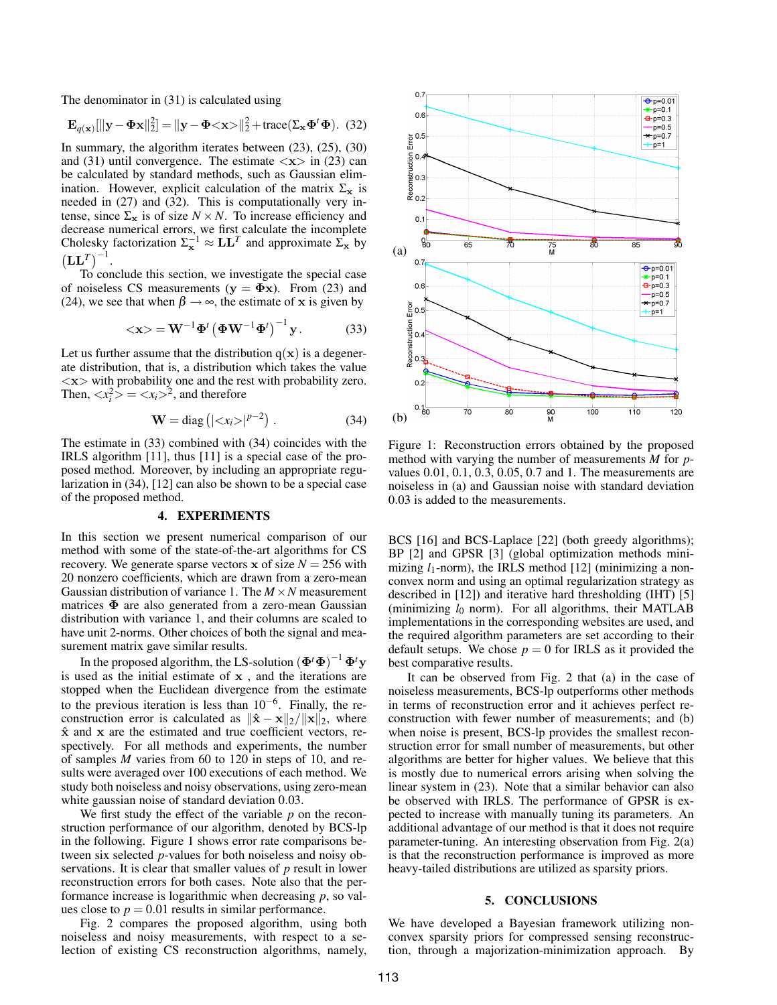The denominator in (31) is calculated using

$$
\mathbf{E}_{q(\mathbf{x})}[\|\mathbf{y} - \mathbf{\Phi}\mathbf{x}\|_2^2] = \|\mathbf{y} - \mathbf{\Phi} < \mathbf{x}\n\geq \|\mathbf{x}\n\frac{2}{2} + \text{trace}(\Sigma_{\mathbf{x}} \mathbf{\Phi}^t \mathbf{\Phi}). \tag{32}
$$

In summary, the algorithm iterates between (23), (25), (30) and (31) until convergence. The estimate  $\langle x \rangle$  in (23) can be calculated by standard methods, such as Gaussian elimination. However, explicit calculation of the matrix  $\Sigma_{\mathbf{x}}$  is needed in (27) and (32). This is computationally very intense, since  $\Sigma_x$  is of size  $N \times N$ . To increase efficiency and decrease numerical errors, we first calculate the incomplete Cholesky factorization  $\Sigma_{\mathbf{x}}^{-1} \approx \mathbf{L}\mathbf{L}^{T}$  and approximate  $\Sigma_{\mathbf{x}}$  by  $(LL^T)^{-1}$ .

To conclude this section, we investigate the special case of noiseless CS measurements ( $y = \Phi x$ ). From (23) and (24), we see that when  $\beta \rightarrow \infty$ , the estimate of x is given by

$$
\langle \mathbf{x} \rangle = \mathbf{W}^{-1} \mathbf{\Phi}^t \left( \mathbf{\Phi} \mathbf{W}^{-1} \mathbf{\Phi}^t \right)^{-1} \mathbf{y}.
$$
 (33)

Let us further assume that the distribution  $q(x)$  is a degenerate distribution, that is, a distribution which takes the value  $\langle x \rangle$  with probability one and the rest with probability zero. Then,  $\langle x_i^2 \rangle = \langle x_i \rangle^2$ , and therefore

$$
\mathbf{W} = \text{diag}\left(|\langle x_i \rangle|^{p-2}\right). \tag{34}
$$

The estimate in (33) combined with (34) coincides with the IRLS algorithm [11], thus [11] is a special case of the proposed method. Moreover, by including an appropriate regularization in (34), [12] can also be shown to be a special case of the proposed method.

### 4. EXPERIMENTS

In this section we present numerical comparison of our method with some of the state-of-the-art algorithms for CS recovery. We generate sparse vectors  $x$  of size  $N = 256$  with 20 nonzero coefficients, which are drawn from a zero-mean Gaussian distribution of variance 1. The  $M \times N$  measurement matrices  $\Phi$  are also generated from a zero-mean Gaussian distribution with variance 1, and their columns are scaled to have unit 2-norms. Other choices of both the signal and measurement matrix gave similar results.

In the proposed algorithm, the LS-solution  $(\mathbf{\Phi}^t \mathbf{\Phi})^{-1} \mathbf{\Phi}^t \mathbf{y}$ is used as the initial estimate of x , and the iterations are stopped when the Euclidean divergence from the estimate to the previous iteration is less than  $10^{-6}$ . Finally, the reconstruction error is calculated as  $\|\hat{\mathbf{x}} - \mathbf{x}\|_2 / \|\mathbf{x}\|_2$ , where  $\hat{x}$  and  $x$  are the estimated and true coefficient vectors, respectively. For all methods and experiments, the number of samples *M* varies from 60 to 120 in steps of 10, and results were averaged over 100 executions of each method. We study both noiseless and noisy observations, using zero-mean white gaussian noise of standard deviation 0.03.

We first study the effect of the variable *p* on the reconstruction performance of our algorithm, denoted by BCS-lp in the following. Figure 1 shows error rate comparisons between six selected *p*-values for both noiseless and noisy observations. It is clear that smaller values of *p* result in lower reconstruction errors for both cases. Note also that the performance increase is logarithmic when decreasing *p*, so values close to  $p = 0.01$  results in similar performance.

Fig. 2 compares the proposed algorithm, using both noiseless and noisy measurements, with respect to a selection of existing CS reconstruction algorithms, namely,



Figure 1: Reconstruction errors obtained by the proposed method with varying the number of measurements *M* for *p*values 0.01, 0.1, 0.3, 0.05, 0.7 and 1. The measurements are noiseless in (a) and Gaussian noise with standard deviation 0.03 is added to the measurements.

BCS [16] and BCS-Laplace [22] (both greedy algorithms); BP [2] and GPSR [3] (global optimization methods minimizing  $l_1$ -norm), the IRLS method [12] (minimizing a nonconvex norm and using an optimal regularization strategy as described in [12]) and iterative hard thresholding (IHT) [5] (minimizing  $l_0$  norm). For all algorithms, their MATLAB implementations in the corresponding websites are used, and the required algorithm parameters are set according to their default setups. We chose  $p = 0$  for IRLS as it provided the best comparative results.

It can be observed from Fig. 2 that (a) in the case of noiseless measurements, BCS-lp outperforms other methods in terms of reconstruction error and it achieves perfect reconstruction with fewer number of measurements; and (b) when noise is present, BCS-lp provides the smallest reconstruction error for small number of measurements, but other algorithms are better for higher values. We believe that this is mostly due to numerical errors arising when solving the linear system in (23). Note that a similar behavior can also be observed with IRLS. The performance of GPSR is expected to increase with manually tuning its parameters. An additional advantage of our method is that it does not require parameter-tuning. An interesting observation from Fig. 2(a) is that the reconstruction performance is improved as more heavy-tailed distributions are utilized as sparsity priors.

# 5. CONCLUSIONS

We have developed a Bayesian framework utilizing nonconvex sparsity priors for compressed sensing reconstruction, through a majorization-minimization approach. By